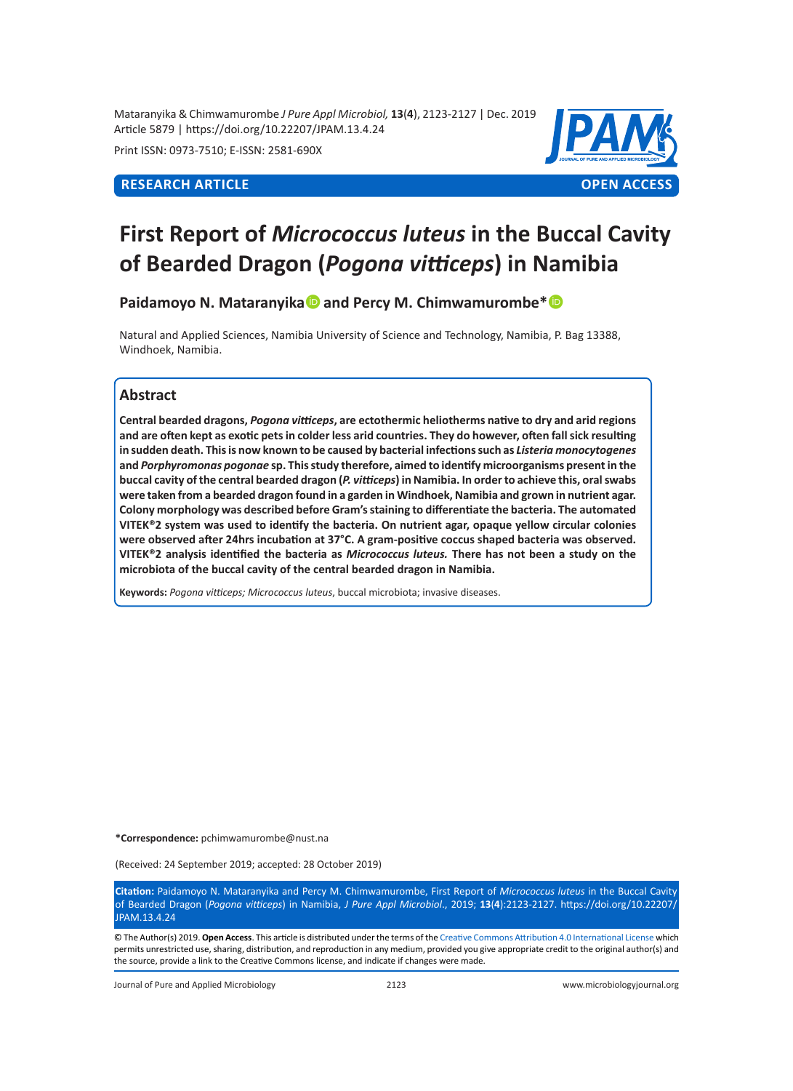Mataranyika & Chimwamurombe *J Pure Appl Microbiol,* **13**(**4**), 2123-2127 | Dec. 2019 Article 5879 | https://doi.org/10.22207/JPAM.13.4.24

Print ISSN: 0973-7510; E-ISSN: 2581-690X



# **First Report of** *Micrococcus luteus* **in the Buccal Cavity of Bearded Dragon (***Pogona vitticeps***) in Namibia**

Paidamoyo N. Mataranyika<sup>1</sup> and Percy M. Chimwamurombe<sup>\*</sup><sup>1</sup>

Natural and Applied Sciences, Namibia University of Science and Technology, Namibia, P. Bag 13388, Windhoek, Namibia.

# **Abstract**

**Central bearded dragons,** *Pogona vitticeps***, are ectothermic heliotherms native to dry and arid regions and are often kept as exotic pets in colder less arid countries. They do however, often fall sick resulting in sudden death. This is now known to be caused by bacterial infections such as** *Listeria monocytogenes* **and** *Porphyromonas pogonae* **sp. This study therefore, aimed to identify microorganisms present in the buccal cavity of the central bearded dragon (***P. vitticeps***) in Namibia. In order to achieve this, oral swabs were taken from a bearded dragon found in a garden in Windhoek, Namibia and grown in nutrient agar. Colony morphology was described before Gram's staining to differentiate the bacteria. The automated VITEK®2 system was used to identify the bacteria. On nutrient agar, opaque yellow circular colonies were observed after 24hrs incubation at 37°C. A gram-positive coccus shaped bacteria was observed. VITEK®2 analysis identified the bacteria as** *Micrococcus luteus.* **There has not been a study on the microbiota of the buccal cavity of the central bearded dragon in Namibia.** 

**Keywords:** *Pogona vitticeps; Micrococcus luteus*, buccal microbiota; invasive diseases.

**\*Correspondence:** pchimwamurombe@nust.na

(Received: 24 September 2019; accepted: 28 October 2019)

**Citation:** Paidamoyo N. Mataranyika and Percy M. Chimwamurombe, First Report of *Micrococcus luteus* in the Buccal Cavity of Bearded Dragon (*Pogona vitticeps*) in Namibia, *J Pure Appl Microbiol*., 2019; **13**(**4**):2123-2127. https://doi.org/10.22207/ JPAM.13.4.24

© The Author(s) 2019. **Open Access**. This article is distributed under the terms of the [Creative Commons Attribution 4.0 International License](https://creativecommons.org/licenses/by/4.0/) which permits unrestricted use, sharing, distribution, and reproduction in any medium, provided you give appropriate credit to the original author(s) and the source, provide a link to the Creative Commons license, and indicate if changes were made.

Journal of Pure and Applied Microbiology 2123 www.microbiologyjournal.org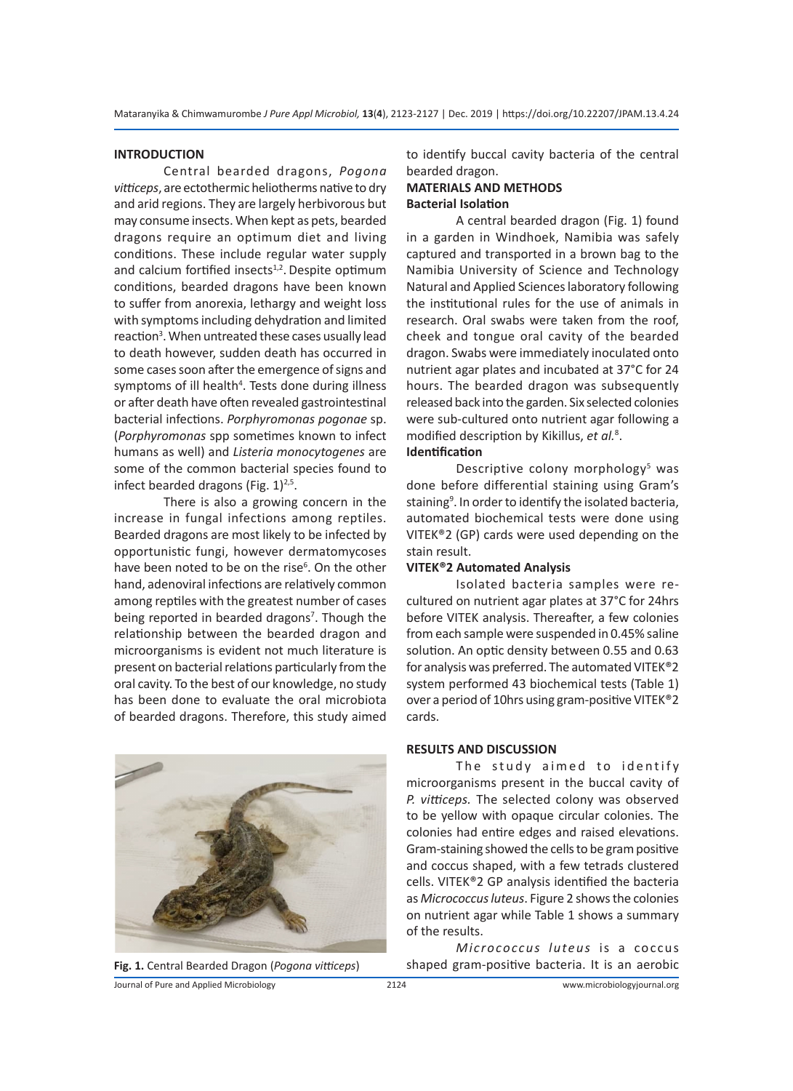### **INTRODUCTION**

Central bearded dragons, *Pogona vitticeps*, are ectothermic heliotherms native to dry and arid regions. They are largely herbivorous but may consume insects. When kept as pets, bearded dragons require an optimum diet and living conditions. These include regular water supply and calcium fortified insects $1,2$ . Despite optimum conditions, bearded dragons have been known to suffer from anorexia, lethargy and weight loss with symptoms including dehydration and limited reaction<sup>3</sup>. When untreated these cases usually lead to death however, sudden death has occurred in some cases soon after the emergence of signs and symptoms of ill health<sup>4</sup>. Tests done during illness or after death have often revealed gastrointestinal bacterial infections. *Porphyromonas pogonae* sp. (*Porphyromonas* spp sometimes known to infect humans as well) and *Listeria monocytogenes* are some of the common bacterial species found to infect bearded dragons (Fig.  $1)^{2,5}$ .

There is also a growing concern in the increase in fungal infections among reptiles. Bearded dragons are most likely to be infected by opportunistic fungi, however dermatomycoses have been noted to be on the rise<sup>6</sup>. On the other hand, adenoviral infections are relatively common among reptiles with the greatest number of cases being reported in bearded dragons<sup>7</sup>. Though the relationship between the bearded dragon and microorganisms is evident not much literature is present on bacterial relations particularly from the oral cavity. To the best of our knowledge, no study has been done to evaluate the oral microbiota of bearded dragons. Therefore, this study aimed





to identify buccal cavity bacteria of the central bearded dragon.

# **MATERIALS AND METHODS Bacterial Isolation**

A central bearded dragon (Fig. 1) found in a garden in Windhoek, Namibia was safely captured and transported in a brown bag to the Namibia University of Science and Technology Natural and Applied Sciences laboratory following the institutional rules for the use of animals in research. Oral swabs were taken from the roof, cheek and tongue oral cavity of the bearded dragon. Swabs were immediately inoculated onto nutrient agar plates and incubated at 37°C for 24 hours. The bearded dragon was subsequently released back into the garden. Six selected colonies were sub-cultured onto nutrient agar following a modified description by Kikillus, *et al.*<sup>8</sup> . **Identification**

Descriptive colony morphology<sup>5</sup> was done before differential staining using Gram's staining<sup>9</sup>. In order to identify the isolated bacteria, automated biochemical tests were done using VITEK®2 (GP) cards were used depending on the stain result.

#### **VITEK®2 Automated Analysis**

Isolated bacteria samples were recultured on nutrient agar plates at 37°C for 24hrs before VITEK analysis. Thereafter, a few colonies from each sample were suspended in 0.45% saline solution. An optic density between 0.55 and 0.63 for analysis was preferred. The automated VITEK®2 system performed 43 biochemical tests (Table 1) over a period of 10hrs using gram-positive VITEK®2 cards.

#### **RESULTS AND DISCUSSION**

The study aimed to identify microorganisms present in the buccal cavity of *P. vitticeps.* The selected colony was observed to be yellow with opaque circular colonies. The colonies had entire edges and raised elevations. Gram-staining showed the cells to be gram positive and coccus shaped, with a few tetrads clustered cells. VITEK®2 GP analysis identified the bacteria as *Micrococcus luteus*. Figure 2 shows the colonies on nutrient agar while Table 1 shows a summary of the results.

*Micrococcus luteus* is a coccus **Fig. 1.** Central Bearded Dragon (*Pogona vitticeps*) shaped gram-positive bacteria. It is an aerobic

Journal of Pure and Applied Microbiology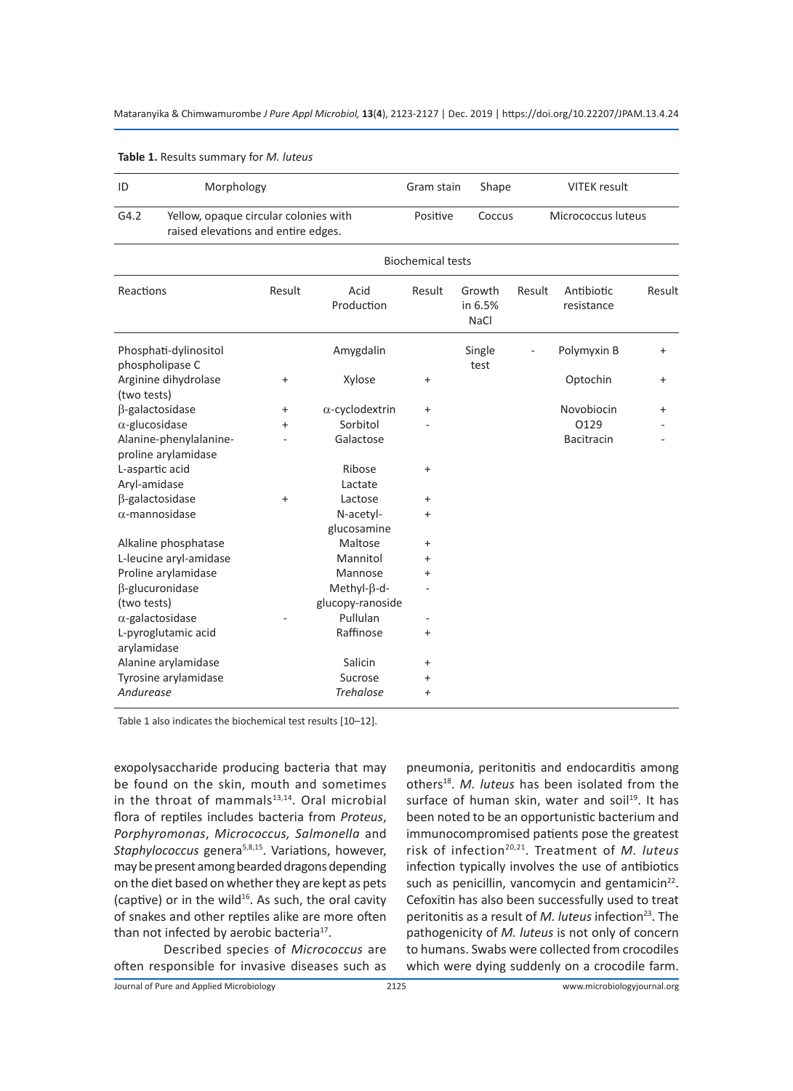| ID                                            | Morphology                                                                   |                          |                          | Gram stain<br><b>VITEK</b> result<br>Shape |                                  |        |                          |           |
|-----------------------------------------------|------------------------------------------------------------------------------|--------------------------|--------------------------|--------------------------------------------|----------------------------------|--------|--------------------------|-----------|
| G4.2                                          | Yellow, opaque circular colonies with<br>raised elevations and entire edges. |                          | Positive<br>Coccus       |                                            | Micrococcus luteus               |        |                          |           |
|                                               |                                                                              | <b>Biochemical tests</b> |                          |                                            |                                  |        |                          |           |
| Reactions                                     |                                                                              | Result                   | Acid<br>Production       | Result                                     | Growth<br>in 6.5%<br><b>NaCl</b> | Result | Antibiotic<br>resistance | Result    |
| Phosphati-dylinositol<br>phospholipase C      |                                                                              |                          | Amygdalin                |                                            | Single<br>test                   |        | Polymyxin B              | $\ddot{}$ |
| Arginine dihydrolase<br>(two tests)           |                                                                              | $\ddot{}$                | Xylose                   | $\ddot{}$                                  |                                  |        | Optochin                 | $\ddot{}$ |
| β-galactosidase                               |                                                                              | $\ddot{}$                | $\alpha$ -cyclodextrin   | $\ddot{}$                                  |                                  |        | Novobiocin               | +         |
| $\alpha$ -glucosidase                         |                                                                              | $\ddot{}$                | Sorbitol                 |                                            |                                  |        | 0129                     |           |
| Alanine-phenylalanine-<br>proline arylamidase |                                                                              |                          | Galactose                |                                            |                                  |        | <b>Bacitracin</b>        |           |
| L-aspartic acid                               |                                                                              |                          | Ribose                   | $\ddot{}$                                  |                                  |        |                          |           |
| Aryl-amidase                                  |                                                                              |                          | Lactate                  |                                            |                                  |        |                          |           |
| β-galactosidase                               |                                                                              | $\ddot{}$                | Lactose                  | $\ddot{}$                                  |                                  |        |                          |           |
| $\alpha$ -mannosidase                         |                                                                              |                          | N-acetyl-<br>glucosamine | $\ddot{}$                                  |                                  |        |                          |           |
| Alkaline phosphatase                          |                                                                              |                          | Maltose                  | $\ddot{}$                                  |                                  |        |                          |           |
| L-leucine aryl-amidase                        |                                                                              |                          | Mannitol                 | $\ddot{}$                                  |                                  |        |                          |           |
| Proline arylamidase                           |                                                                              |                          | Mannose                  | $\ddot{}$                                  |                                  |        |                          |           |
| β-glucuronidase                               |                                                                              |                          | Methyl- $\beta$ -d-      |                                            |                                  |        |                          |           |
| (two tests)                                   |                                                                              |                          | glucopy-ranoside         |                                            |                                  |        |                          |           |
| $\alpha$ -galactosidase                       |                                                                              |                          | Pullulan                 |                                            |                                  |        |                          |           |
| arylamidase                                   | L-pyroglutamic acid                                                          |                          | Raffinose                | $\ddot{}$                                  |                                  |        |                          |           |
| Alanine arylamidase                           |                                                                              |                          | Salicin                  | $\ddot{}$                                  |                                  |        |                          |           |
| Tyrosine arylamidase                          |                                                                              |                          | Sucrose                  | $\ddot{}$                                  |                                  |        |                          |           |
| Andurease                                     |                                                                              |                          | <b>Trehalose</b>         | $\overline{+}$                             |                                  |        |                          |           |

**Table 1.** Results summary for *M. luteus*

Table 1 also indicates the biochemical test results [10–12].

exopolysaccharide producing bacteria that may be found on the skin, mouth and sometimes in the throat of mammals $13,14$ . Oral microbial flora of reptiles includes bacteria from *Proteus*, *Porphyromonas*, *Micrococcus, Salmonella* and *Staphylococcus* genera5,8,15. Variations, however, may be present among bearded dragons depending on the diet based on whether they are kept as pets (captive) or in the wild $16$ . As such, the oral cavity of snakes and other reptiles alike are more often than not infected by aerobic bacteria<sup>17</sup>.

Described species of *Micrococcus* are often responsible for invasive diseases such as pneumonia, peritonitis and endocarditis among others<sup>18</sup>. *M. luteus* has been isolated from the surface of human skin, water and soil<sup>19</sup>. It has been noted to be an opportunistic bacterium and immunocompromised patients pose the greatest risk of infection20,21. Treatment of *M. luteus* infection typically involves the use of antibiotics such as penicillin, vancomycin and gentamicin<sup>22</sup>. Cefoxitin has also been successfully used to treat peritonitis as a result of *M. luteus* infection<sup>23</sup>. The pathogenicity of *M. luteus* is not only of concern to humans. Swabs were collected from crocodiles which were dying suddenly on a crocodile farm.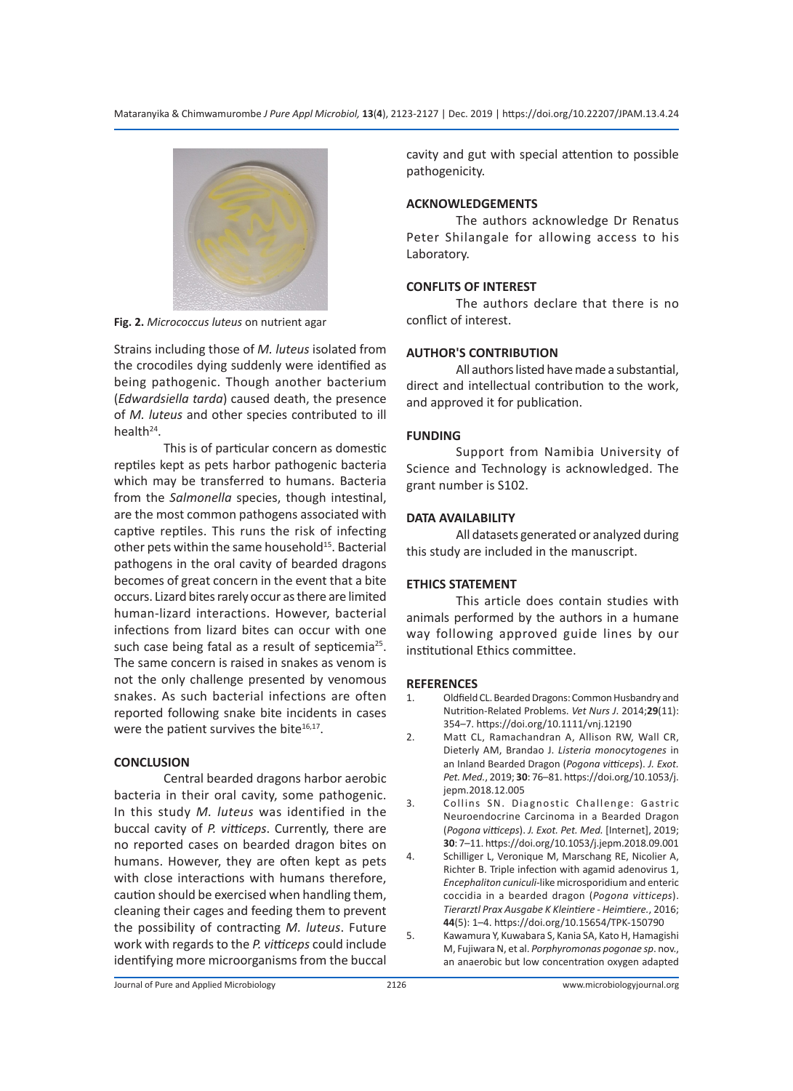

**Fig. 2.** *Micrococcus luteus* on nutrient agar

Strains including those of *M. luteus* isolated from the crocodiles dying suddenly were identified as being pathogenic. Though another bacterium (*Edwardsiella tarda*) caused death, the presence of *M. luteus* and other species contributed to ill health $24$ .

This is of particular concern as domestic reptiles kept as pets harbor pathogenic bacteria which may be transferred to humans. Bacteria from the *Salmonella* species, though intestinal, are the most common pathogens associated with captive reptiles. This runs the risk of infecting other pets within the same household<sup>15</sup>. Bacterial pathogens in the oral cavity of bearded dragons becomes of great concern in the event that a bite occurs. Lizard bites rarely occur as there are limited human-lizard interactions. However, bacterial infections from lizard bites can occur with one such case being fatal as a result of septicemia<sup>25</sup>. The same concern is raised in snakes as venom is not the only challenge presented by venomous snakes. As such bacterial infections are often reported following snake bite incidents in cases were the patient survives the bite $16,17$ .

# **CONCLUSION**

Central bearded dragons harbor aerobic bacteria in their oral cavity, some pathogenic. In this study *M. luteus* was identified in the buccal cavity of *P. vitticeps*. Currently, there are no reported cases on bearded dragon bites on humans. However, they are often kept as pets with close interactions with humans therefore, caution should be exercised when handling them, cleaning their cages and feeding them to prevent the possibility of contracting *M. luteus*. Future work with regards to the *P. vitticeps* could include identifying more microorganisms from the buccal cavity and gut with special attention to possible pathogenicity.

# **ACKNOWLEDGEMENTS**

The authors acknowledge Dr Renatus Peter Shilangale for allowing access to his Laboratory.

# **CONFLITS OF INTEREST**

The authors declare that there is no conflict of interest.

### **AUTHOR'S CONTRIBUTION**

All authors listed have made a substantial, direct and intellectual contribution to the work, and approved it for publication.

### **FUNDING**

Support from Namibia University of Science and Technology is acknowledged. The grant number is S102.

### **DATA AVAILABILITY**

All datasets generated or analyzed during this study are included in the manuscript.

#### **ETHICS STATEMENT**

This article does contain studies with animals performed by the authors in a humane way following approved guide lines by our institutional Ethics committee.

#### **REFERENCES**

- 1. Oldfield CL. Bearded Dragons: Common Husbandry and Nutrition-Related Problems. *Vet Nurs J*. 2014;**29**(11): 354–7. https://doi.org/10.1111/vnj.12190
- 2. Matt CL, Ramachandran A, Allison RW, Wall CR, Dieterly AM, Brandao J. *Listeria monocytogenes* in an Inland Bearded Dragon (*Pogona vitticeps*). *J. Exot. Pet. Med.*, 2019; **30**: 76–81. https://doi.org/10.1053/j. jepm.2018.12.005
- 3. Collins SN. Diagnostic Challenge: Gastric Neuroendocrine Carcinoma in a Bearded Dragon (*Pogona vitticeps*). *J. Exot. Pet. Med.* [Internet], 2019; **30**: 7–11. https://doi.org/10.1053/j.jepm.2018.09.001
- 4. Schilliger L, Veronique M, Marschang RE, Nicolier A, Richter B. Triple infection with agamid adenovirus 1, *Encephaliton cuniculi*-like microsporidium and enteric coccidia in a bearded dragon (*Pogona vitticeps*). *Tierarztl Prax Ausgabe K Kleintiere - Heimtiere.*, 2016; **44**(5): 1–4. https://doi.org/10.15654/TPK-150790
- 5. Kawamura Y, Kuwabara S, Kania SA, Kato H, Hamagishi M, Fujiwara N, et al. *Porphyromonas pogonae sp*. nov., an anaerobic but low concentration oxygen adapted